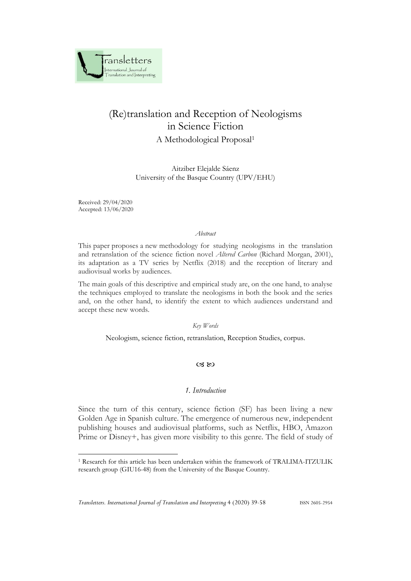

# (Re)translation and Reception of Neologisms in Science Fiction

A Methodological Proposal<sup>1</sup>

Aitziber Elejalde Sáenz University of the Basque Country (UPV/EHU)

Received: 29/04/2020 Accepted: 13/06/2020

#### *Abstract*

This paper proposes a new methodology for studying neologisms in the translation and retranslation of the science fiction novel *Altered Carbon* (Richard Morgan, 2001), its adaptation as a TV series by Netflix (2018) and the reception of literary and audiovisual works by audiences.

The main goals of this descriptive and empirical study are, on the one hand, to analyse the techniques employed to translate the neologisms in both the book and the series and, on the other hand, to identify the extent to which audiences understand and accept these new words.

# *Key Words*

Neologism, science fiction, retranslation, Reception Studies, corpus.

#### $\alpha$   $\infty$

## *1. Introduction*

Since the turn of this century, science fiction (SF) has been living a new Golden Age in Spanish culture. The emergence of numerous new, independent publishing houses and audiovisual platforms, such as Netflix, HBO, Amazon Prime or Disney+, has given more visibility to this genre. The field of study of

<sup>1</sup> Research for this article has been undertaken within the framework of TRALIMA-ITZULIK research group (GIU16-48) from the University of the Basque Country.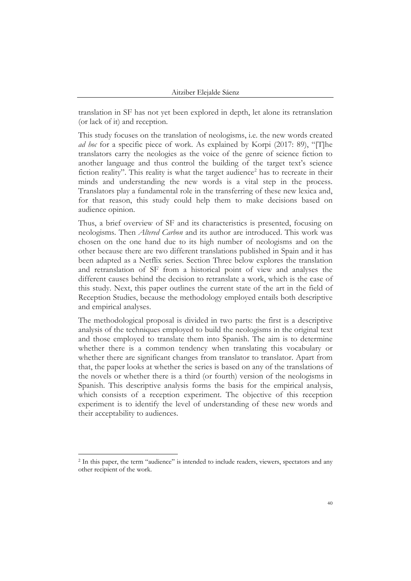translation in SF has not yet been explored in depth, let alone its retranslation (or lack of it) and reception.

This study focuses on the translation of neologisms, i.e. the new words created *ad hoc* for a specific piece of work. As explained by Korpi (2017: 89), "[T]he translators carry the neologies as the voice of the genre of science fiction to another language and thus control the building of the target text's science fiction reality". This reality is what the target audience<sup>2</sup> has to recreate in their minds and understanding the new words is a vital step in the process. Translators play a fundamental role in the transferring of these new lexica and, for that reason, this study could help them to make decisions based on audience opinion.

Thus, a brief overview of SF and its characteristics is presented, focusing on neologisms. Then *Altered Carbon* and its author are introduced. This work was chosen on the one hand due to its high number of neologisms and on the other because there are two different translations published in Spain and it has been adapted as a Netflix series. Section Three below explores the translation and retranslation of SF from a historical point of view and analyses the different causes behind the decision to retranslate a work, which is the case of this study. Next, this paper outlines the current state of the art in the field of Reception Studies, because the methodology employed entails both descriptive and empirical analyses.

The methodological proposal is divided in two parts: the first is a descriptive analysis of the techniques employed to build the neologisms in the original text and those employed to translate them into Spanish. The aim is to determine whether there is a common tendency when translating this vocabulary or whether there are significant changes from translator to translator. Apart from that, the paper looks at whether the series is based on any of the translations of the novels or whether there is a third (or fourth) version of the neologisms in Spanish. This descriptive analysis forms the basis for the empirical analysis, which consists of a reception experiment. The objective of this reception experiment is to identify the level of understanding of these new words and their acceptability to audiences.

<sup>&</sup>lt;sup>2</sup> In this paper, the term "audience" is intended to include readers, viewers, spectators and any other recipient of the work.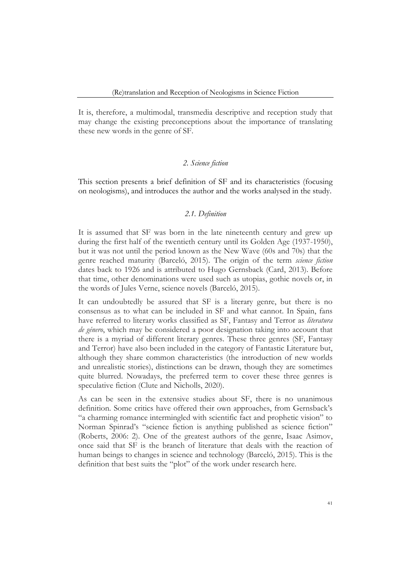It is, therefore, a multimodal, transmedia descriptive and reception study that may change the existing preconceptions about the importance of translating these new words in the genre of SF.

## *2. Science fiction*

This section presents a brief definition of SF and its characteristics (focusing on neologisms), and introduces the author and the works analysed in the study.

#### *2.1. Definition*

It is assumed that SF was born in the late nineteenth century and grew up during the first half of the twentieth century until its Golden Age (1937-1950), but it was not until the period known as the New Wave (60s and 70s) that the genre reached maturity (Barceló, 2015). The origin of the term *science fiction* dates back to 1926 and is attributed to Hugo Gernsback (Card, 2013). Before that time, other denominations were used such as utopias, gothic novels or, in the words of Jules Verne, science novels (Barceló, 2015).

It can undoubtedly be assured that SF is a literary genre, but there is no consensus as to what can be included in SF and what cannot. In Spain, fans have referred to literary works classified as SF, Fantasy and Terror as *literatura de género*, which may be considered a poor designation taking into account that there is a myriad of different literary genres. These three genres (SF, Fantasy and Terror) have also been included in the category of Fantastic Literature but, although they share common characteristics (the introduction of new worlds and unrealistic stories), distinctions can be drawn, though they are sometimes quite blurred. Nowadays, the preferred term to cover these three genres is speculative fiction (Clute and Nicholls, 2020).

As can be seen in the extensive studies about SF, there is no unanimous definition. Some critics have offered their own approaches, from Gernsback's "a charming romance intermingled with scientific fact and prophetic vision" to Norman Spinrad's "science fiction is anything published as science fiction" (Roberts, 2006: 2). One of the greatest authors of the genre, Isaac Asimov, once said that SF is the branch of literature that deals with the reaction of human beings to changes in science and technology (Barceló, 2015). This is the definition that best suits the "plot" of the work under research here.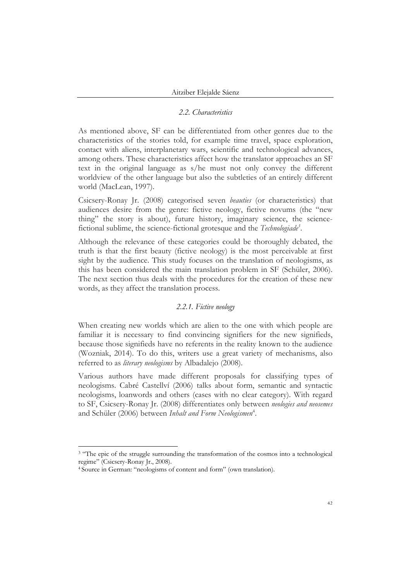## *2.2. Characteristics*

As mentioned above, SF can be differentiated from other genres due to the characteristics of the stories told, for example time travel, space exploration, contact with aliens, interplanetary wars, scientific and technological advances, among others. These characteristics affect how the translator approaches an SF text in the original language as s/he must not only convey the different worldview of the other language but also the subtleties of an entirely different world (MacLean, 1997).

Csicsery-Ronay Jr. (2008) categorised seven *beauties* (or characteristics) that audiences desire from the genre: fictive neology, fictive novums (the "new thing" the story is about), future history, imaginary science, the sciencefictional sublime, the science-fictional grotesque and the *Technologiade<sup>3</sup>* .

Although the relevance of these categories could be thoroughly debated, the truth is that the first beauty (fictive neology) is the most perceivable at first sight by the audience. This study focuses on the translation of neologisms, as this has been considered the main translation problem in SF (Schüler, 2006). The next section thus deals with the procedures for the creation of these new words, as they affect the translation process.

# *2.2.1. Fictive neology*

When creating new worlds which are alien to the one with which people are familiar it is necessary to find convincing signifiers for the new signifieds, because those signifieds have no referents in the reality known to the audience (Wozniak, 2014). To do this, writers use a great variety of mechanisms, also referred to as *literary neologisms* by Albadalejo (2008).

Various authors have made different proposals for classifying types of neologisms. Cabré Castellví (2006) talks about form, semantic and syntactic neologisms, loanwords and others (cases with no clear category). With regard to SF, Csicsery-Ronay Jr. (2008) differentiates only between *neologies and neosemes* and Schüler (2006) between *Inhalt and Form Neologismen*<sup>4</sup> .

<sup>&</sup>lt;sup>3</sup> "The epic of the struggle surrounding the transformation of the cosmos into a technological regime" (Csicsery-Ronay Jr., 2008).

<sup>4</sup> Source in German: "neologisms of content and form" (own translation).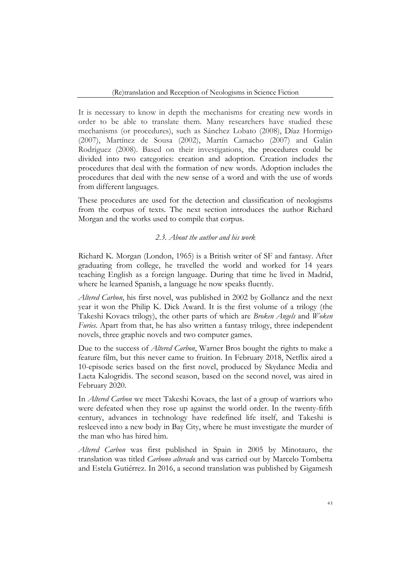It is necessary to know in depth the mechanisms for creating new words in order to be able to translate them. Many researchers have studied these mechanisms (or procedures), such as Sánchez Lobato (2008), Díaz Hormigo (2007), Martínez de Sousa (2002), Martín Camacho (2007) and Galán Rodriguez (2008). Based on their investigations, the procedures could be divided into two categories: creation and adoption. Creation includes the procedures that deal with the formation of new words. Adoption includes the procedures that deal with the new sense of a word and with the use of words from different languages.

These procedures are used for the detection and classification of neologisms from the corpus of texts. The next section introduces the author Richard Morgan and the works used to compile that corpus.

## *2.3. About the author and his work*

Richard K. Morgan (London, 1965) is a British writer of SF and fantasy. After graduating from college, he travelled the world and worked for 14 years teaching English as a foreign language. During that time he lived in Madrid, where he learned Spanish, a language he now speaks fluently.

*Altered Carbon*, his first novel, was published in 2002 by Gollancz and the next year it won the Philip K. Dick Award. It is the first volume of a trilogy (the Takeshi Kovacs trilogy), the other parts of which are *Broken Angels* and *Woken Furies*. Apart from that, he has also written a fantasy trilogy, three independent novels, three graphic novels and two computer games.

Due to the success of *Altered Carbon*, Warner Bros bought the rights to make a feature film, but this never came to fruition. In February 2018, Netflix aired a 10-episode series based on the first novel, produced by Skydance Media and Laeta Kalogridis. The second season, based on the second novel, was aired in February 2020.

In *Altered Carbon* we meet Takeshi Kovacs, the last of a group of warriors who were defeated when they rose up against the world order. In the twenty-fifth century, advances in technology have redefined life itself, and Takeshi is resleeved into a new body in Bay City, where he must investigate the murder of the man who has hired him.

*Altered Carbon* was first published in Spain in 2005 by Minotauro, the translation was titled *Carbono alterado* and was carried out by Marcelo Tombetta and Estela Gutiérrez. In 2016, a second translation was published by Gigamesh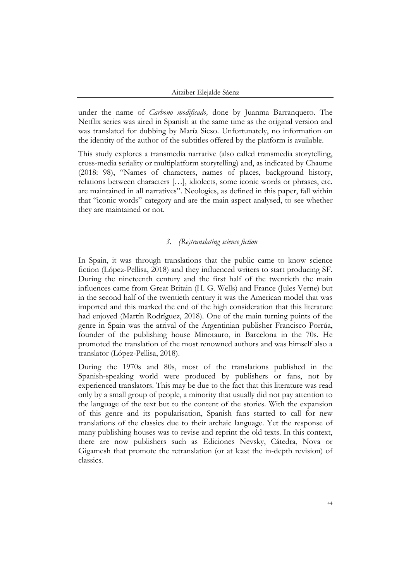under the name of *Carbono modificado,* done by Juanma Barranquero. The Netflix series was aired in Spanish at the same time as the original version and was translated for dubbing by María Sieso. Unfortunately, no information on the identity of the author of the subtitles offered by the platform is available.

This study explores a transmedia narrative (also called transmedia storytelling, cross-media seriality or multiplatform storytelling) and, as indicated by Chaume (2018: 98), "Names of characters, names of places, background history, relations between characters […], idiolects, some iconic words or phrases, etc. are maintained in all narratives". Neologies, as defined in this paper, fall within that "iconic words" category and are the main aspect analysed, to see whether they are maintained or not.

## *3. (Re)translating science fiction*

In Spain, it was through translations that the public came to know science fiction (López-Pellisa, 2018) and they influenced writers to start producing SF. During the nineteenth century and the first half of the twentieth the main influences came from Great Britain (H. G. Wells) and France (Jules Verne) but in the second half of the twentieth century it was the American model that was imported and this marked the end of the high consideration that this literature had enjoyed (Martín Rodríguez, 2018). One of the main turning points of the genre in Spain was the arrival of the Argentinian publisher Francisco Porrúa, founder of the publishing house Minotauro, in Barcelona in the 70s. He promoted the translation of the most renowned authors and was himself also a translator (López-Pellisa, 2018).

During the 1970s and 80s, most of the translations published in the Spanish-speaking world were produced by publishers or fans, not by experienced translators. This may be due to the fact that this literature was read only by a small group of people, a minority that usually did not pay attention to the language of the text but to the content of the stories. With the expansion of this genre and its popularisation, Spanish fans started to call for new translations of the classics due to their archaic language. Yet the response of many publishing houses was to revise and reprint the old texts. In this context, there are now publishers such as Ediciones Nevsky, Cátedra, Nova or Gigamesh that promote the retranslation (or at least the in-depth revision) of classics.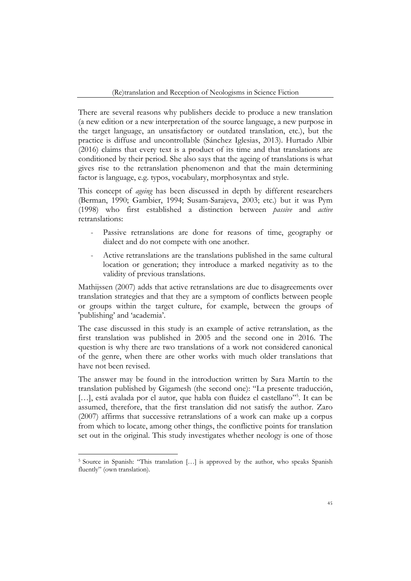There are several reasons why publishers decide to produce a new translation (a new edition or a new interpretation of the source language, a new purpose in the target language, an unsatisfactory or outdated translation, etc.), but the practice is diffuse and uncontrollable (Sánchez Iglesias, 2013). Hurtado Albir (2016) claims that every text is a product of its time and that translations are conditioned by their period. She also says that the ageing of translations is what gives rise to the retranslation phenomenon and that the main determining factor is language, e.g. typos, vocabulary, morphosyntax and style.

This concept of *ageing* has been discussed in depth by different researchers (Berman, 1990; Gambier, 1994; Susam-Sarajeva, 2003; etc.) but it was Pym (1998) who first established a distinction between *passive* and *active* retranslations:

- Passive retranslations are done for reasons of time, geography or dialect and do not compete with one another.
- Active retranslations are the translations published in the same cultural location or generation; they introduce a marked negativity as to the validity of previous translations.

Mathijssen (2007) adds that active retranslations are due to disagreements over translation strategies and that they are a symptom of conflicts between people or groups within the target culture, for example, between the groups of 'publishing' and 'academia'.

The case discussed in this study is an example of active retranslation, as the first translation was published in 2005 and the second one in 2016. The question is why there are two translations of a work not considered canonical of the genre, when there are other works with much older translations that have not been revised.

The answer may be found in the introduction written by Sara Martín to the translation published by Gigamesh (the second one): "La presente traducción, [...], está avalada por el autor, que habla con fluidez el castellano"<sup>5</sup>. It can be assumed, therefore, that the first translation did not satisfy the author. Zaro (2007) affirms that successive retranslations of a work can make up a corpus from which to locate, among other things, the conflictive points for translation set out in the original. This study investigates whether neology is one of those

<sup>&</sup>lt;sup>5</sup> Source in Spanish: "This translation [...] is approved by the author, who speaks Spanish fluently" (own translation).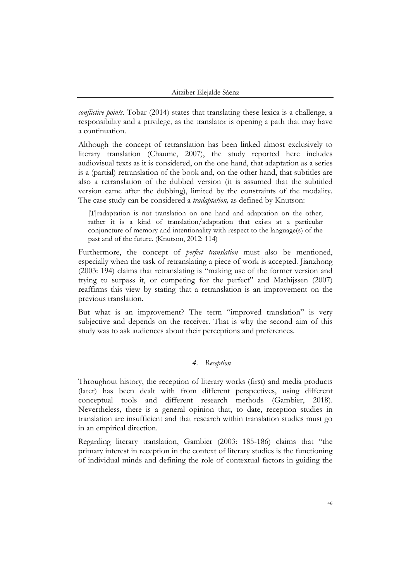*conflictive points.* Tobar (2014) states that translating these lexica is a challenge, a responsibility and a privilege, as the translator is opening a path that may have a continuation.

Although the concept of retranslation has been linked almost exclusively to literary translation (Chaume, 2007), the study reported here includes audiovisual texts as it is considered, on the one hand, that adaptation as a series is a (partial) retranslation of the book and, on the other hand, that subtitles are also a retranslation of the dubbed version (it is assumed that the subtitled version came after the dubbing), limited by the constraints of the modality. The case study can be considered a *tradaptation,* as defined by Knutson:

[T]radaptation is not translation on one hand and adaptation on the other; rather it is a kind of translation/adaptation that exists at a particular conjuncture of memory and intentionality with respect to the language(s) of the past and of the future. (Knutson, 2012: 114)

Furthermore, the concept of *perfect translation* must also be mentioned, especially when the task of retranslating a piece of work is accepted. Jianzhong (2003: 194) claims that retranslating is "making use of the former version and trying to surpass it, or competing for the perfect" and Mathijssen (2007) reaffirms this view by stating that a retranslation is an improvement on the previous translation.

But what is an improvement? The term "improved translation" is very subjective and depends on the receiver. That is why the second aim of this study was to ask audiences about their perceptions and preferences.

# *4. Reception*

Throughout history, the reception of literary works (first) and media products (later) has been dealt with from different perspectives, using different conceptual tools and different research methods (Gambier, 2018). Nevertheless, there is a general opinion that, to date, reception studies in translation are insufficient and that research within translation studies must go in an empirical direction.

Regarding literary translation, Gambier (2003: 185-186) claims that "the primary interest in reception in the context of literary studies is the functioning of individual minds and defining the role of contextual factors in guiding the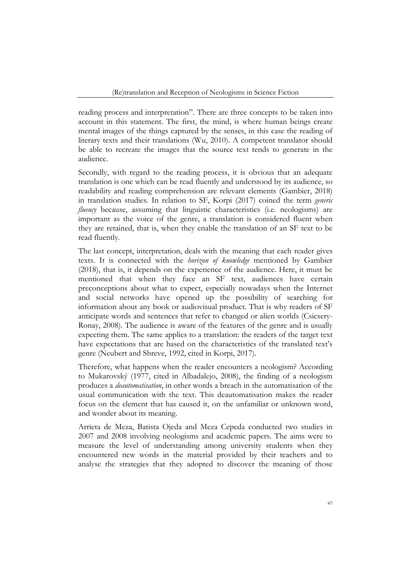reading process and interpretation". There are three concepts to be taken into account in this statement. The first, the mind, is where human beings create mental images of the things captured by the senses, in this case the reading of literary texts and their translations (Wu, 2010). A competent translator should be able to recreate the images that the source text tends to generate in the audience.

Secondly, with regard to the reading process, it is obvious that an adequate translation is one which can be read fluently and understood by its audience, so readability and reading comprehension are relevant elements (Gambier, 2018) in translation studies. In relation to SF, Korpi (2017) coined the term *generic fluency* because, assuming that linguistic characteristics (i.e. neologisms) are important as the voice of the genre, a translation is considered fluent when they are retained, that is, when they enable the translation of an SF text to be read fluently.

The last concept, interpretation, deals with the meaning that each reader gives texts. It is connected with the *horizon of knowledge* mentioned by Gambier (2018), that is, it depends on the experience of the audience. Here, it must be mentioned that when they face an SF text, audiences have certain preconceptions about what to expect, especially nowadays when the Internet and social networks have opened up the possibility of searching for information about any book or audiovisual product. That is why readers of SF anticipate words and sentences that refer to changed or alien worlds (Csicsery-Ronay, 2008). The audience is aware of the features of the genre and is usually expecting them. The same applies to a translation: the readers of the target text have expectations that are based on the characteristics of the translated text's genre (Neubert and Shreve, 1992, cited in Korpi, 2017).

Therefore, what happens when the reader encounters a neologism? According to Mukarovský (1977, cited in Albadalejo, 2008), the finding of a neologism produces a *deautomatisation*, in other words a breach in the automatisation of the usual communication with the text. This deautomatisation makes the reader focus on the element that has caused it, on the unfamiliar or unknown word, and wonder about its meaning.

Arrieta de Meza, Batista Ojeda and Meza Cepeda conducted two studies in 2007 and 2008 involving neologisms and academic papers. The aims were to measure the level of understanding among university students when they encountered new words in the material provided by their teachers and to analyse the strategies that they adopted to discover the meaning of those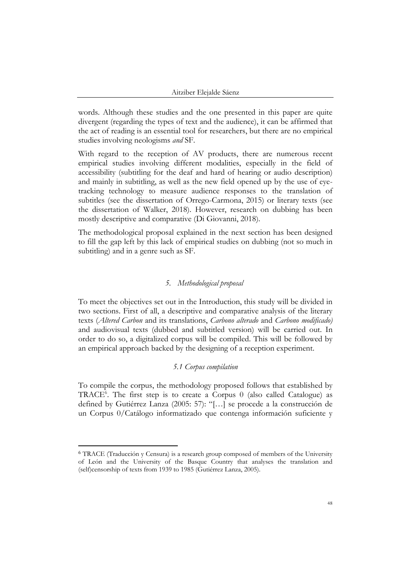words. Although these studies and the one presented in this paper are quite divergent (regarding the types of text and the audience), it can be affirmed that the act of reading is an essential tool for researchers, but there are no empirical studies involving neologisms *and* SF.

With regard to the reception of AV products, there are numerous recent empirical studies involving different modalities, especially in the field of accessibility (subtitling for the deaf and hard of hearing or audio description) and mainly in subtitling, as well as the new field opened up by the use of eyetracking technology to measure audience responses to the translation of subtitles (see the dissertation of Orrego-Carmona, 2015) or literary texts (see the dissertation of Walker, 2018). However, research on dubbing has been mostly descriptive and comparative (Di Giovanni, 2018).

The methodological proposal explained in the next section has been designed to fill the gap left by this lack of empirical studies on dubbing (not so much in subtitling) and in a genre such as SF.

# *5. Methodological proposal*

To meet the objectives set out in the Introduction, this study will be divided in two sections. First of all, a descriptive and comparative analysis of the literary texts (*Altered Carbon* and its translations, *Carbono alterado* and *Carbono modificado)* and audiovisual texts (dubbed and subtitled version) will be carried out. In order to do so, a digitalized corpus will be compiled. This will be followed by an empirical approach backed by the designing of a reception experiment.

# *5.1 Corpus compilation*

To compile the corpus, the methodology proposed follows that established by TRACE<sup>6</sup>. The first step is to create a Corpus 0 (also called Catalogue) as defined by Gutiérrez Lanza (2005: 57): "[…] se procede a la construcción de un Corpus 0/Catálogo informatizado que contenga información suficiente y

<sup>6</sup> TRACE (Traducción y Censura) is a research group composed of members of the University of León and the University of the Basque Country that analyses the translation and (self)censorship of texts from 1939 to 1985 (Gutiérrez Lanza, 2005).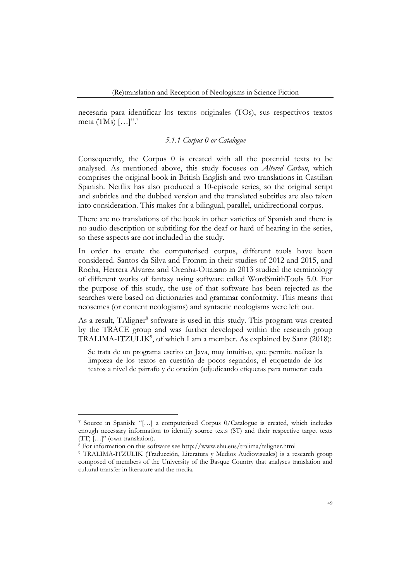necesaria para identificar los textos originales (TOs), sus respectivos textos meta (TMs)  $[\ldots]$ ".<sup>7</sup>

# *5.1.1 Corpus 0 or Catalogue*

Consequently, the Corpus 0 is created with all the potential texts to be analysed. As mentioned above, this study focuses on *Altered Carbon*, which comprises the original book in British English and two translations in Castilian Spanish. Netflix has also produced a 10-episode series, so the original script and subtitles and the dubbed version and the translated subtitles are also taken into consideration. This makes for a bilingual, parallel, unidirectional corpus.

There are no translations of the book in other varieties of Spanish and there is no audio description or subtitling for the deaf or hard of hearing in the series, so these aspects are not included in the study.

In order to create the computerised corpus, different tools have been considered. Santos da Silva and Fromm in their studies of 2012 and 2015, and Rocha, Herrera Alvarez and Orenha-Ottaiano in 2013 studied the terminology of different works of fantasy using software called WordSmithTools 5.0. For the purpose of this study, the use of that software has been rejected as the searches were based on dictionaries and grammar conformity. This means that neosemes (or content neologisms) and syntactic neologisms were left out.

As a result, TAligner<sup>8</sup> software is used in this study. This program was created by the TRACE group and was further developed within the research group TRALIMA-ITZULIK<sup>9</sup>, of which I am a member. As explained by Sanz (2018):

Se trata de un programa escrito en Java, muy intuitivo, que permite realizar la limpieza de los textos en cuestión de pocos segundos, el etiquetado de los textos a nivel de párrafo y de oración (adjudicando etiquetas para numerar cada

<sup>7</sup> Source in Spanish: "[…] a computerised Corpus 0/Catalogue is created, which includes enough necessary information to identify source texts (ST) and their respective target texts  $(TT)$  [...]" (own translation).

<sup>8</sup> For information on this software see http://www.ehu.eus/tralima/taligner.html

<sup>9</sup> TRALIMA-ITZULIK (Traducción, Literatura y Medios Audiovisuales) is a research group composed of members of the University of the Basque Country that analyses translation and cultural transfer in literature and the media.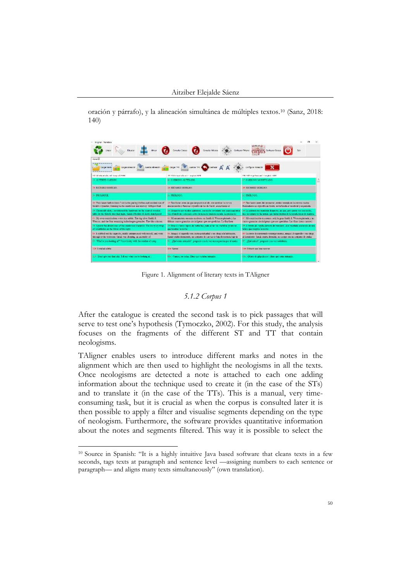oración y párrafo), y la alineación simultánea de múltiples textos. <sup>10</sup> (Sanz, 2018: 140)

| Wisner-Nemtara                                                                                                                                              |                                                                                                                                                        |                                                                                                                                                                     |
|-------------------------------------------------------------------------------------------------------------------------------------------------------------|--------------------------------------------------------------------------------------------------------------------------------------------------------|---------------------------------------------------------------------------------------------------------------------------------------------------------------------|
|                                                                                                                                                             | Des Royaux de la Constant O contenun Constant COPUS commercial                                                                                         |                                                                                                                                                                     |
| Water <sup>25</sup>                                                                                                                                         |                                                                                                                                                        |                                                                                                                                                                     |
|                                                                                                                                                             | Courses and courses a series of a course of the course of $\Lambda$ of $\Lambda$ of $\Lambda$                                                          |                                                                                                                                                                     |
| 100 - Al Celturar Goldswind - Tennissueli, N1980                                                                                                            | PL14X characterized and characterized MCR                                                                                                              | 1902/100 Househouse Librarian ADM                                                                                                                                   |
| <b>IN ALTRED CARTON</b>                                                                                                                                     | tic CARDONO ALTERADO                                                                                                                                   | <b>E CARROSO MODIFICADO</b>                                                                                                                                         |
| <b>14 KICHARD MONEAN</b>                                                                                                                                    | <b>E RICHARD MORGAN</b>                                                                                                                                | <b>EXCONDED MONOCAN</b>                                                                                                                                             |
| <b>JA PROLOCCE</b>                                                                                                                                          | B. PROLOGO.                                                                                                                                            | EL PRÓDOGO.                                                                                                                                                         |
| In Two board hefter days I with the pelling kitches and unclod one of<br>Samit's convertes, laterated to the masking nucleon and washes. Silling on had     | millons borge actes de que despustava el día, me secréter la nomina-<br>descascionado y flami na cigarette de los de Santh escachante el-              | 14 Don horas anno del antarecer estaba sentado en la astrosa cocida.<br>desperso y invitavo la chesidaria al considerato si presidentificazioni.                    |
| 10. Chemically skirt, a government the hardware on the search wooder.<br>hable site the failurals trace that regins. Sarati's Hockler & South shared people | se Desperto per modos quinecos, con noche inventant por engenagenna-<br>vice of landware colorado sobre la racia de madera motada. La probla de-       | of La questo me manimis desperto, un que, por questo vez can noche,<br>decompositions to be arrear, one in his excess the horizon in more thermatical               |
| (C) My own contributions were less soldie. The big salves Smith &<br>Wescan, and the first remaining hulkelnogen grenades. The this criminal                | 6. Mi amanento cos más modesto, ou finida de Wessen plateado y ha-<br>Objets: cuatro granados aleciadosenas que ne coedidon. Lo fina linea-            | 67. Ná contribución en menos sotá la gran Smith & Wesson platouda y las-<br>custo grandas alcohógenas que nos quedaban. Las finas lineas carmes).                   |
| In Active the distant manafillie masks and I heard in The International and<br>of retarbladge on the thirds of the early.                                   | le Rese al dorezo lajaro del torbellon male oldas las cuchillas cicatarossi<br>one heading in norise.                                                  | annab chronic obliderate is lo in transferred and the series observed all all<br>ather que constituí a necho.                                                       |
| 14. I stabbed out the currents, residy expresses of with proof." and went-<br>through to the bedroom, Small was sleeping, an amendity of                    | 84. Apapa el esparallo esa, cierta perplopitad y eno despi a la habitación.<br>Santa cutaba demonstro, un comunto de pareia de baja frecuencia bajo la | 50 Unitstate discrepationally continues research content of contentials when three-<br>al demonstrato, funda construidormeda, se pacingo cha em persuato de cradas- |
| 51 What's you looking at? Vaice hasks with the residue of sizes.                                                                                            | the close estas ministro? pregnato con la voz en respectiva por el suelo.                                                                              | off. "Qué miras? preganó con vez sofolierta.                                                                                                                        |
| 104: Lamündia Intia.                                                                                                                                        | <b>The Scene:</b>                                                                                                                                      | the Pakesk and less against                                                                                                                                         |
| THE Treat give me that shift. Tell me what you're looking all?                                                                                              | His - Vance, no rodas. Denn que catalen manado.                                                                                                        | The «Deale de grapellesca y designation manager,                                                                                                                    |

Figure 1. Alignment of literary texts in TAligner

# *5.1.2 Corpus 1*

After the catalogue is created the second task is to pick passages that will serve to test one's hypothesis (Tymoczko, 2002). For this study, the analysis focuses on the fragments of the different ST and TT that contain neologisms.

TAligner enables users to introduce different marks and notes in the alignment which are then used to highlight the neologisms in all the texts. Once neologisms are detected a note is attached to each one adding information about the technique used to create it (in the case of the STs) and to translate it (in the case of the TTs). This is a manual, very timeconsuming task, but it is crucial as when the corpus is consulted later it is then possible to apply a filter and visualise segments depending on the type of neologism. Furthermore, the software provides quantitative information about the notes and segments filtered. This way it is possible to select the

<sup>10</sup> Source in Spanish: "It is a highly intuitive Java based software that cleans texts in a few seconds, tags texts at paragraph and sentence level —assigning numbers to each sentence or paragraph— and aligns many texts simultaneously" (own translation).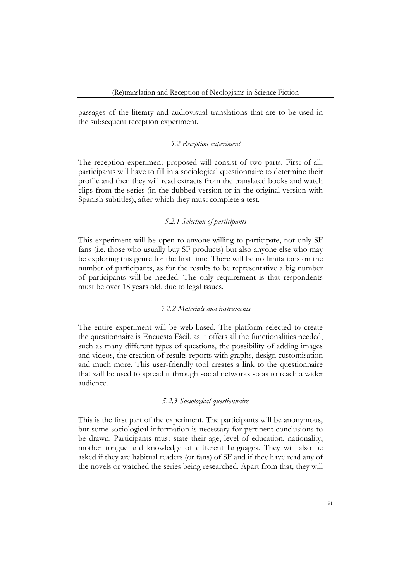passages of the literary and audiovisual translations that are to be used in the subsequent reception experiment.

#### *5.2 Reception experiment*

The reception experiment proposed will consist of two parts. First of all, participants will have to fill in a sociological questionnaire to determine their profile and then they will read extracts from the translated books and watch clips from the series (in the dubbed version or in the original version with Spanish subtitles), after which they must complete a test.

## *5.2.1 Selection of participants*

This experiment will be open to anyone willing to participate, not only SF fans (i.e. those who usually buy SF products) but also anyone else who may be exploring this genre for the first time. There will be no limitations on the number of participants, as for the results to be representative a big number of participants will be needed. The only requirement is that respondents must be over 18 years old, due to legal issues.

## *5.2.2 Materials and instruments*

The entire experiment will be web-based. The platform selected to create the questionnaire is Encuesta Fácil, as it offers all the functionalities needed, such as many different types of questions, the possibility of adding images and videos, the creation of results reports with graphs, design customisation and much more. This user-friendly tool creates a link to the questionnaire that will be used to spread it through social networks so as to reach a wider audience.

#### *5.2.3 Sociological questionnaire*

This is the first part of the experiment. The participants will be anonymous, but some sociological information is necessary for pertinent conclusions to be drawn. Participants must state their age, level of education, nationality, mother tongue and knowledge of different languages. They will also be asked if they are habitual readers (or fans) of SF and if they have read any of the novels or watched the series being researched. Apart from that, they will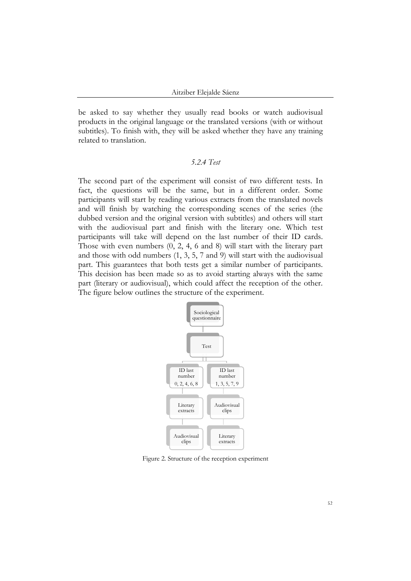be asked to say whether they usually read books or watch audiovisual products in the original language or the translated versions (with or without subtitles). To finish with, they will be asked whether they have any training related to translation.

# *5.2.4 Test*

The second part of the experiment will consist of two different tests. In fact, the questions will be the same, but in a different order. Some participants will start by reading various extracts from the translated novels and will finish by watching the corresponding scenes of the series (the dubbed version and the original version with subtitles) and others will start with the audiovisual part and finish with the literary one. Which test participants will take will depend on the last number of their ID cards. Those with even numbers (0, 2, 4, 6 and 8) will start with the literary part and those with odd numbers (1, 3, 5, 7 and 9) will start with the audiovisual part. This guarantees that both tests get a similar number of participants. This decision has been made so as to avoid starting always with the same part (literary or audiovisual), which could affect the reception of the other. The figure below outlines the structure of the experiment.



Figure 2. Structure of the reception experiment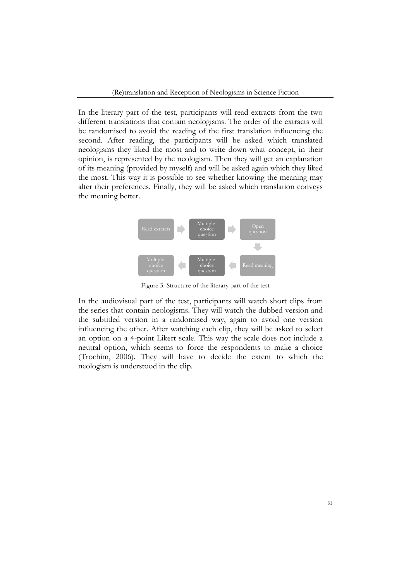In the literary part of the test, participants will read extracts from the two different translations that contain neologisms. The order of the extracts will be randomised to avoid the reading of the first translation influencing the second. After reading, the participants will be asked which translated neologisms they liked the most and to write down what concept, in their opinion, is represented by the neologism. Then they will get an explanation of its meaning (provided by myself) and will be asked again which they liked the most. This way it is possible to see whether knowing the meaning may alter their preferences. Finally, they will be asked which translation conveys the meaning better.



Figure 3. Structure of the literary part of the test

In the audiovisual part of the test, participants will watch short clips from the series that contain neologisms. They will watch the dubbed version and the subtitled version in a randomised way, again to avoid one version influencing the other. After watching each clip, they will be asked to select an option on a 4-point Likert scale. This way the scale does not include a neutral option, which seems to force the respondents to make a choice (Trochim, 2006). They will have to decide the extent to which the neologism is understood in the clip.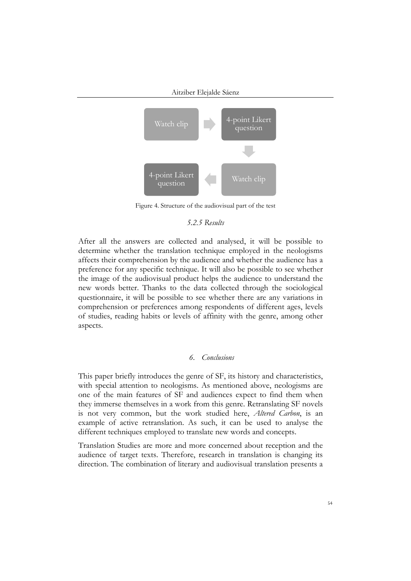

Figure 4. Structure of the audiovisual part of the test

# *5.2.5 Results*

After all the answers are collected and analysed, it will be possible to determine whether the translation technique employed in the neologisms affects their comprehension by the audience and whether the audience has a preference for any specific technique. It will also be possible to see whether the image of the audiovisual product helps the audience to understand the new words better. Thanks to the data collected through the sociological questionnaire, it will be possible to see whether there are any variations in comprehension or preferences among respondents of different ages, levels of studies, reading habits or levels of affinity with the genre, among other aspects.

## *6. Conclusions*

This paper briefly introduces the genre of SF, its history and characteristics, with special attention to neologisms. As mentioned above, neologisms are one of the main features of SF and audiences expect to find them when they immerse themselves in a work from this genre. Retranslating SF novels is not very common, but the work studied here, *Altered Carbon*, is an example of active retranslation. As such, it can be used to analyse the different techniques employed to translate new words and concepts.

Translation Studies are more and more concerned about reception and the audience of target texts. Therefore, research in translation is changing its direction. The combination of literary and audiovisual translation presents a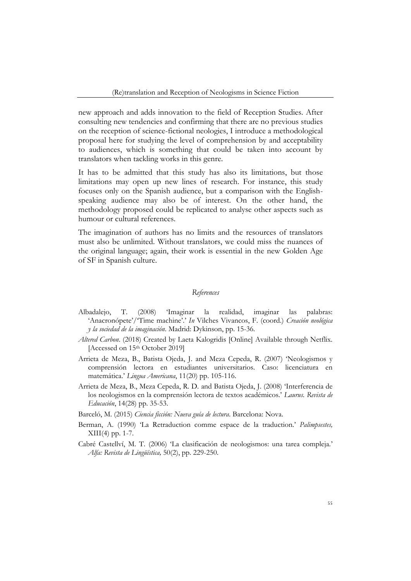new approach and adds innovation to the field of Reception Studies. After consulting new tendencies and confirming that there are no previous studies on the reception of science-fictional neologies, I introduce a methodological proposal here for studying the level of comprehension by and acceptability to audiences, which is something that could be taken into account by translators when tackling works in this genre.

It has to be admitted that this study has also its limitations, but those limitations may open up new lines of research. For instance, this study focuses only on the Spanish audience, but a comparison with the Englishspeaking audience may also be of interest. On the other hand, the methodology proposed could be replicated to analyse other aspects such as humour or cultural references.

The imagination of authors has no limits and the resources of translators must also be unlimited. Without translators, we could miss the nuances of the original language; again, their work is essential in the new Golden Age of SF in Spanish culture.

## *References*

- Albadalejo, T. (2008) 'Imaginar la realidad, imaginar las palabras: 'Anacronópete'/'Time machine'.' *In* Vilches Vivancos, F. (coord.) *Creación neológica y la sociedad de la imaginación*. Madrid: Dykinson, pp. 15-36.
- *Altered Carbon*. (2018) Created by Laeta Kalogridis [Online] Available through Netflix. [Accessed on 15th October 2019]
- Arrieta de Meza, B., Batista Ojeda, J. and Meza Cepeda, R. (2007) 'Neologismos y comprensión lectora en estudiantes universitarios. Caso: licenciatura en matemática.' *Lingua Americana*, 11(20) pp. 105-116.
- Arrieta de Meza, B., Meza Cepeda, R. D. and Batista Ojeda, J. (2008) 'Interferencia de los neologismos en la comprensión lectora de textos académicos.' *Laurus. Revista de Educación*, 14(28) pp. 35-53.
- Barceló, M. (2015) *Ciencia ficción: Nueva guía de lectura*. Barcelona: Nova.
- Berman, A. (1990) 'La Retraduction comme espace de la traduction.' *Palimpsestes,* XIII(4) pp. 1-7.
- Cabré Castellví, M. T. (2006) 'La clasificación de neologismos: una tarea compleja.' *Alfa: Revista de Lingüística,* 50(2), pp. 229-250.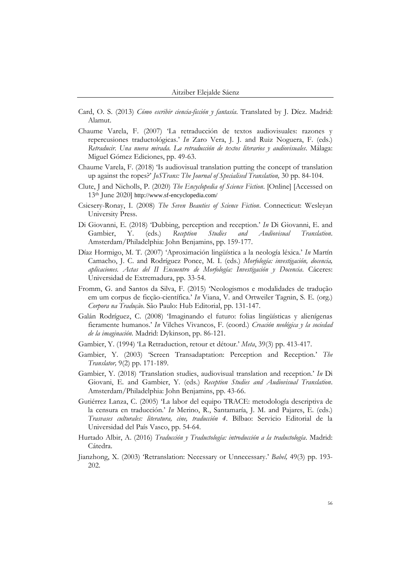- Card, O. S. (2013) *Cómo escribir ciencia-ficción y fantasía*. Translated by J. Díez. Madrid: Alamut.
- Chaume Varela, F. (2007) 'La retraducción de textos audiovisuales: razones y repercusiones traductológicas.' *In* Zaro Vera, J. J. and Ruiz Noguera, F. (eds.) *Retraducir. Una nueva mirada. La retraducción de textos literarios y audiovisuales*. Málaga: Miguel Gómez Ediciones, pp. 49-63.
- Chaume Varela, F. (2018) 'Is audiovisual translation putting the concept of translation up against the ropes?' *JoSTrans: The Journal of Specialised Translation,* 30 pp. 84-104.
- Clute, J and Nicholls, P. (2020) *The Encyclopedia of Science Fiction*. [Online] [Accessed on 13th June 2020] http://www.sf-encyclopedia.com/
- Csicsery-Ronay, I. (2008) *The Seven Beauties of Science Fiction*. Connecticut: Wesleyan University Press.
- Di Giovanni, E. (2018) 'Dubbing, perception and reception.' *In* Di Giovanni, E. and Gambier, Y. (eds.) *Reception Studies and Audiovisual Translation*. Amsterdam/Philadelphia: John Benjamins, pp. 159-177.
- Díaz Hormigo, M. T. (2007) 'Aproximación lingüística a la neología léxica.' *In* Martín Camacho, J. C. and Rodríguez Ponce, M. I. (eds.) *Morfología: investigación, docencia, aplicaciones. Actas del II Encuentro de Morfología: Investigación y Docencia*. Cáceres: Universidad de Extremadura, pp. 33-54.
- Fromm, G. and Santos da Silva, F. (2015) 'Neologismos e modalidades de tradução em um corpus de ficção-científica.' *In* Viana, V. and Ortweiler Tagnin, S. E. (org.) *Corpora na Tradução*. São Paulo: Hub Editorial, pp. 131-147.
- Galán Rodríguez, C. (2008) 'Imaginando el futuro: folias lingüísticas y alienígenas fieramente humanos.' *In* Vilches Vivancos, F. (coord.) *Creación neológica y la sociedad de la imaginación.* Madrid: Dykinson, pp. 86-121.
- Gambier, Y. (1994) 'La Retraduction, retour et détour.' *Meta*, 39(3) pp. 413-417.
- Gambier, Y. (2003) 'Screen Transadaptation: Perception and Reception.' *The Translator,* 9(2) pp. 171-189.
- Gambier, Y. (2018) 'Translation studies, audiovisual translation and reception.' *In* Di Giovani, E. and Gambier, Y. (eds.) *Reception Studies and Audiovisual Translation*. Amsterdam/Philadelphia: John Benjamins, pp. 43-66.
- Gutiérrez Lanza, C. (2005) 'La labor del equipo TRACE: metodología descriptiva de la censura en traducción.' *In* Merino, R., Santamaría, J. M. and Pajares, E. (eds.) *Trasvases culturales: literatura, cine, traducción 4*. Bilbao: Servicio Editorial de la Universidad del País Vasco, pp. 54-64.
- Hurtado Albir, A. (2016) *Traducción y Traductología: introducción a la traductología*. Madrid: Cátedra.
- Jianzhong, X. (2003) 'Retranslation: Necessary or Unnecessary.' *Babel,* 49(3) pp. 193- 202.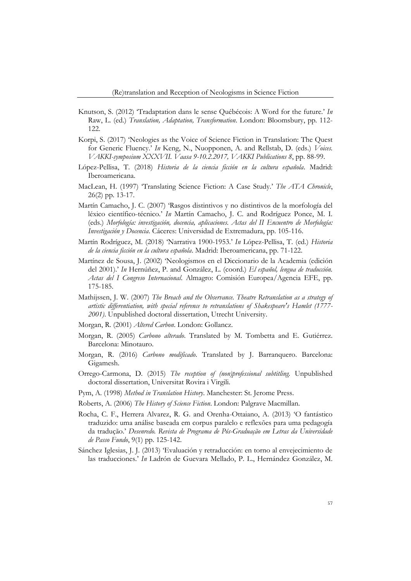- Knutson, S. (2012) 'Tradaptation dans le sense Québécois: A Word for the future.' *In* Raw, L. (ed.) *Translation, Adaptation, Transformation*. London: Bloomsbury, pp. 112- 122.
- Korpi, S. (2017) 'Neologies as the Voice of Science Fiction in Translation: The Quest for Generic Fluency.' *In* Keng, N., Nuopponen, A. and Rellstab, D. (eds.) *Voices. VAKKI-symposium XXXVII. Vaasa 9-10.2.2017, VAKKI Publications 8*, pp. 88-99.
- López-Pellisa, T. (2018) *Historia de la ciencia ficción en la cultura española*. Madrid: Iberoamericana.
- MacLean, H. (1997) 'Translating Science Fiction: A Case Study.' *The ATA Chronicle*, 26(2) pp. 13-17.
- Martín Camacho, J. C. (2007) 'Rasgos distintivos y no distintivos de la morfología del léxico científico-técnico.' *In* Martín Camacho, J. C. and Rodríguez Ponce, M. I. (eds.) *Morfología: investigación, docencia, aplicaciones. Actas del II Encuentro de Morfología: Investigación y Docencia*. Cáceres: Universidad de Extremadura, pp. 105-116.
- Martín Rodríguez, M. (2018) 'Narrativa 1900-1953.' *In* López-Pellisa, T. (ed.) *Historia de la ciencia ficción en la cultura española*. Madrid: Iberoamericana, pp. 71-122.
- Martínez de Sousa, J. (2002) 'Neologismos en el Diccionario de la Academia (edición del 2001).' *In* Hernúñez, P. and González, L. (coord.) *El español, lengua de traducción. Actas del I Congreso Internacional*. Almagro: Comisión Europea/Agencia EFE, pp. 175-185.
- Mathijssen, J. W. (2007) *The Breach and the Observance. Theatre Retranslation as a strategy of artistic differentiation, with special reference to retranslations of Shakespeare's Hamlet (1777- 2001)*. Unpublished doctoral dissertation, Utrecht University.
- Morgan, R. (2001) *Altered Carbon*. London: Gollancz.
- Morgan, R. (2005) *Carbono alterado*. Translated by M. Tombetta and E. Gutiérrez. Barcelona: Minotauro.
- Morgan, R. (2016) *Carbono modificado*. Translated by J. Barranquero. Barcelona: Gigamesh.
- Orrego-Carmona, D. (2015) *The reception of (non)professional subtitling.* Unpublished doctoral dissertation, Universitat Rovira i Virgili.
- Pym, A. (1998) *Method in Translation History*. Manchester: St. Jerome Press.
- Roberts, A. (2006) *The History of Science Fiction*. London: Palgrave Macmillan.
- Rocha, C. F., Herrera Alvarez, R. G. and Orenha-Ottaiano, A. (2013) 'O fantástico traduzido: uma análise baseada em corpus paralelo e reflexões para uma pedagogía da tradução.' *Desenredo. Revista de Programa de Pós-Graduação em Letras da Universidade de Passo Fundo*, 9(1) pp. 125-142.
- Sánchez Iglesias, J. J. (2013) 'Evaluación y retraducción: en torno al envejecimiento de las traducciones.' *In* Ladrón de Guevara Mellado, P. L., Hernández González, M.